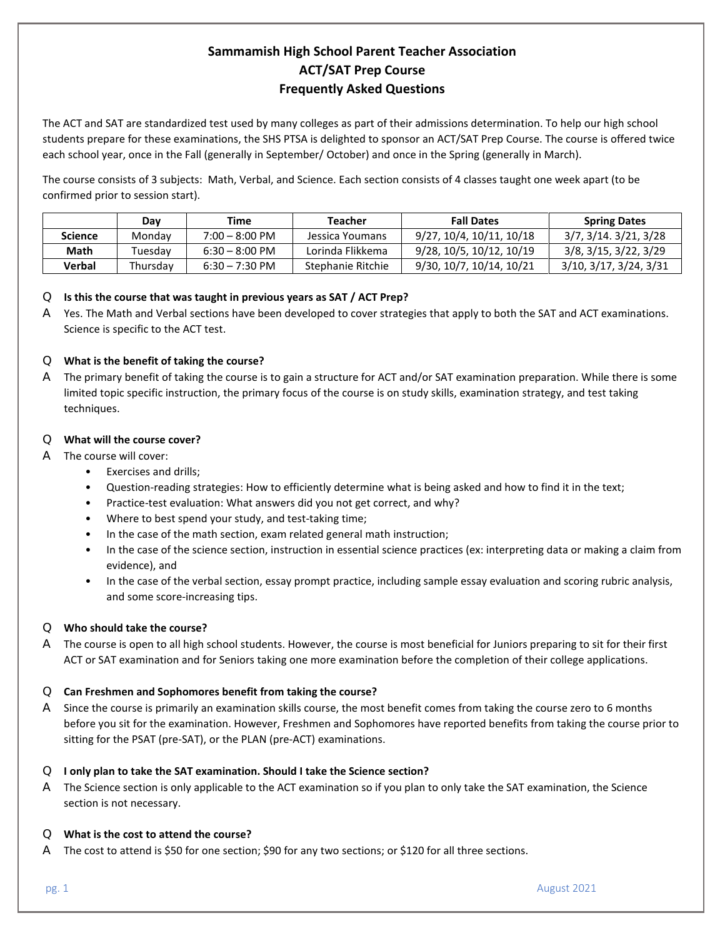# **Sammamish High School Parent Teacher Association ACT/SAT Prep Course Frequently Asked Questions**

The ACT and SAT are standardized test used by many colleges as part of their admissions determination. To help our high school students prepare for these examinations, the SHS PTSA is delighted to sponsor an ACT/SAT Prep Course. The course is offered twice each school year, once in the Fall (generally in September/ October) and once in the Spring (generally in March).

The course consists of 3 subjects: Math, Verbal, and Science. Each section consists of 4 classes taught one week apart (to be confirmed prior to session start).

|                | Dav      | Time                     | Teacher           | <b>Fall Dates</b>        | <b>Spring Dates</b>    |
|----------------|----------|--------------------------|-------------------|--------------------------|------------------------|
| <b>Science</b> | Mondav   | $7:00 - 8:00 \text{ PM}$ | Jessica Youmans   | 9/27, 10/4, 10/11, 10/18 | 3/7, 3/14, 3/21, 3/28  |
| Math           | Tuesdav  | $6:30 - 8:00 \text{ PM}$ | Lorinda Flikkema  | 9/28, 10/5, 10/12, 10/19 | 3/8, 3/15, 3/22, 3/29  |
| Verbal         | Thursdav | $6:30 - 7:30 \text{ PM}$ | Stephanie Ritchie | 9/30, 10/7, 10/14, 10/21 | 3/10, 3/17, 3/24, 3/31 |

# Q **Is this the course that was taught in previous years as SAT / ACT Prep?**

A Yes. The Math and Verbal sections have been developed to cover strategies that apply to both the SAT and ACT examinations. Science is specific to the ACT test.

# Q **What is the benefit of taking the course?**

A The primary benefit of taking the course is to gain a structure for ACT and/or SAT examination preparation. While there is some limited topic specific instruction, the primary focus of the course is on study skills, examination strategy, and test taking techniques.

# Q **What will the course cover?**

- A The course will cover:
	- Exercises and drills;
	- Question-reading strategies: How to efficiently determine what is being asked and how to find it in the text;
	- Practice-test evaluation: What answers did you not get correct, and why?
	- Where to best spend your study, and test-taking time;
	- In the case of the math section, exam related general math instruction;
	- In the case of the science section, instruction in essential science practices (ex: interpreting data or making a claim from evidence), and
	- In the case of the verbal section, essay prompt practice, including sample essay evaluation and scoring rubric analysis, and some score-increasing tips.

# Q **Who should take the course?**

A The course is open to all high school students. However, the course is most beneficial for Juniors preparing to sit for their first ACT or SAT examination and for Seniors taking one more examination before the completion of their college applications.

# Q **Can Freshmen and Sophomores benefit from taking the course?**

A Since the course is primarily an examination skills course, the most benefit comes from taking the course zero to 6 months before you sit for the examination. However, Freshmen and Sophomores have reported benefits from taking the course prior to sitting for the PSAT (pre-SAT), or the PLAN (pre-ACT) examinations.

# Q **I only plan to take the SAT examination. Should I take the Science section?**

A The Science section is only applicable to the ACT examination so if you plan to only take the SAT examination, the Science section is not necessary.

# Q **What is the cost to attend the course?**

A The cost to attend is \$50 for one section; \$90 for any two sections; or \$120 for all three sections.